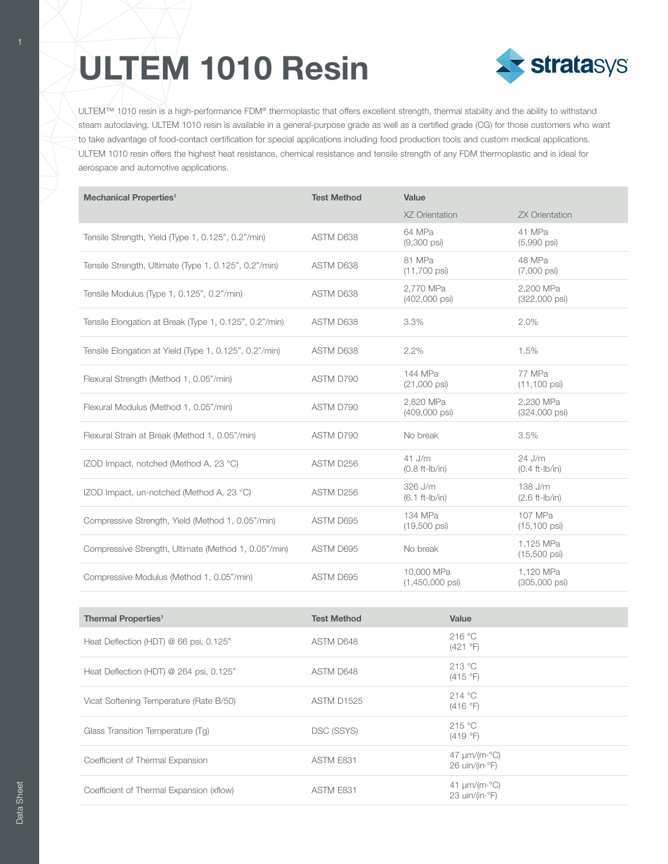## **ULTEM 1010 Resin**



ULTEM™ 1010 resin is a high-performance FDM® thermoplastic that offers excellent strength, thermal stability and the ability to withstand steam autoclaving. ULTEM 1010 resin is available in a general-purpose grade as well as a certified grade (CG) for those customers who want to take advantage of food-contact certification for special applications including food production tools and custom medical applications. ULTEM 1010 resin offers the highest heat resistance, chemical resistance and tensile strength of any FDM thermoplastic and is ideal for aerospace and automotive applications.

| <b>Mechanical Properties<sup>1</sup></b>               | <b>Test Method</b> | Value                                   |                                      |
|--------------------------------------------------------|--------------------|-----------------------------------------|--------------------------------------|
|                                                        |                    | XZ Orientation                          | <b>ZX Orientation</b>                |
| Tensile Strength, Yield (Type 1, 0.125", 0.2"/min)     | ASTM D638          | 64 MPa<br>$(9,300 \text{ psi})$         | 41 MPa<br>$(5,990 \text{ psi})$      |
| Tensile Strength, Ultimate (Type 1, 0.125", 0.2"/min)  | ASTM D638          | 81 MPa<br>$(11,700 \text{ psi})$        | 48 MPa<br>$(7,000 \text{ psi})$      |
| Tensile Modulus (Type 1, 0.125", 0.2"/min)             | ASTM D638          | 2.770 MPa<br>(402,000 psi)              | 2.200 MPa<br>$(322,000 \text{ psi})$ |
| Tensile Elongation at Break (Type 1, 0.125", 0.2"/min) | ASTM D638          | 3.3%                                    | 2.0%                                 |
| Tensile Elongation at Yield (Type 1, 0.125", 0.2"/min) | ASTM D638          | 2.2%                                    | 1.5%                                 |
| Flexural Strength (Method 1, 0.05"/min)                | ASTM D790          | 144 MPa<br>$(21,000 \text{ psi})$       | 77 MPa<br>$(11, 100 \text{ psi})$    |
| Flexural Modulus (Method 1, 0.05"/min)                 | ASTM D790          | 2.820 MPa<br>(409,000 psi)              | 2.230 MPa<br>$(324,000 \text{ psi})$ |
| Flexural Strain at Break (Method 1, 0.05"/min)         | ASTM D790          | No break                                | 3.5%                                 |
| IZOD Impact, notched (Method A, 23 °C)                 | ASTM D256          | $41$ J/m<br>$(0.8 ft-lb/in)$            | 24 J/m<br>$(0.4 ft-lb/in)$           |
| IZOD Impact, un-notched (Method A, 23 °C)              | ASTM D256          | 326 J/m<br>$(6.1 ft-lb/in)$             | 138 J/m<br>$(2.6 ft-lb/in)$          |
| Compressive Strength, Yield (Method 1, 0.05"/min)      | ASTM D695          | 134 MPa<br>$(19,500 \text{ psi})$       | 107 MPa<br>$(15, 100 \text{ psi})$   |
| Compressive Strength, Ultimate (Method 1, 0.05"/min)   | ASTM D695          | No break                                | 1,125 MPa<br>$(15,500 \text{ psi})$  |
| Compressive Modulus (Method 1, 0.05"/min)              | ASTM D695          | 10,000 MPa<br>$(1,450,000 \text{ psi})$ | 1,120 MPa<br>(305,000 psi)           |
|                                                        |                    |                                         |                                      |

| Thermal Properties <sup>1</sup>          | <b>Test Method</b> | Value                                                                             |
|------------------------------------------|--------------------|-----------------------------------------------------------------------------------|
| Heat Deflection (HDT) @ 66 psi, 0.125"   | ASTM D648          | 216 °C<br>(421 °F)                                                                |
| Heat Deflection (HDT) @ 264 psi, 0.125"  | ASTM D648          | 213 °C<br>(415 °F)                                                                |
| Vicat Softening Temperature (Rate B/50)  | <b>ASTM D1525</b>  | 214 °C<br>(416 °F)                                                                |
| Glass Transition Temperature (Tg)        | DSC (SSYS)         | 215 °C<br>(419 °F)                                                                |
| Coefficient of Thermal Expansion         | ASTM E831          | $47 \mu m/(m \cdot ^{\circ}C)$<br>26 uin/(in $\cdot$ °F)                          |
| Coefficient of Thermal Expansion (xflow) | ASTM E831          | 41 $\mu$ m/(m· $\degree$ C)<br>23 $\text{uin}/(\text{in} \cdot^{\circ} \text{F})$ |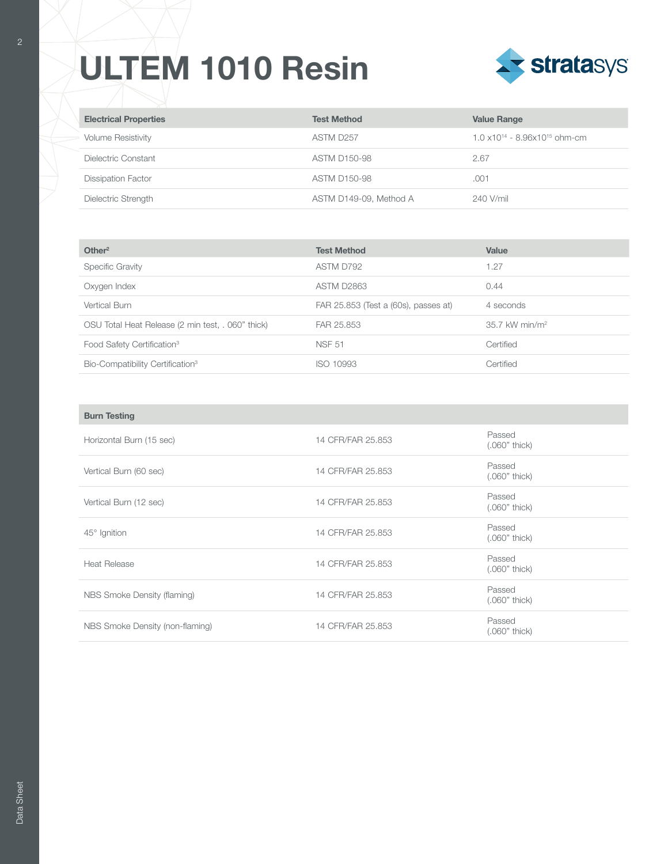## **ULTEM 1010 Resin**



| <b>Electrical Properties</b> | <b>Test Method</b>     | <b>Value Range</b>                                |
|------------------------------|------------------------|---------------------------------------------------|
| <b>Volume Resistivity</b>    | ASTM D257              | $1.0 \times 10^{14} - 8.96 \times 10^{15}$ ohm-cm |
| Dielectric Constant          | <b>ASTM D150-98</b>    | 2.67                                              |
| <b>Dissipation Factor</b>    | <b>ASTM D150-98</b>    | .001                                              |
| Dielectric Strength          | ASTM D149-09, Method A | 240 V/mil                                         |

| Other <sup>2</sup>                                | <b>Test Method</b>                   | Value                        |
|---------------------------------------------------|--------------------------------------|------------------------------|
| <b>Specific Gravity</b>                           | ASTM D792                            | 1.27                         |
| Oxygen Index                                      | <b>ASTM D2863</b>                    | 0.44                         |
| Vertical Burn                                     | FAR 25.853 (Test a (60s), passes at) | 4 seconds                    |
| OSU Total Heat Release (2 min test, . 060" thick) | FAR 25.853                           | $35.7$ kW min/m <sup>2</sup> |
| Food Safety Certification <sup>3</sup>            | <b>NSF 51</b>                        | Certified                    |
| Bio-Compatibility Certification <sup>3</sup>      | ISO 10993                            | Certified                    |

| <b>Burn Testing</b>             |                   |                           |
|---------------------------------|-------------------|---------------------------|
| Horizontal Burn (15 sec)        | 14 CFR/FAR 25.853 | Passed<br>$(.060"$ thick) |
| Vertical Burn (60 sec)          | 14 CFR/FAR 25.853 | Passed<br>$(.060"$ thick) |
| Vertical Burn (12 sec)          | 14 CFR/FAR 25.853 | Passed<br>$(.060"$ thick) |
| $45^\circ$ Ignition             | 14 CFR/FAR 25.853 | Passed<br>$(.060"$ thick) |
| Heat Release                    | 14 CFR/FAR 25.853 | Passed<br>$(.060"$ thick) |
| NBS Smoke Density (flaming)     | 14 CFR/FAR 25.853 | Passed<br>$(.060"$ thick) |
| NBS Smoke Density (non-flaming) | 14 CFR/FAR 25.853 | Passed<br>(.060" thick)   |